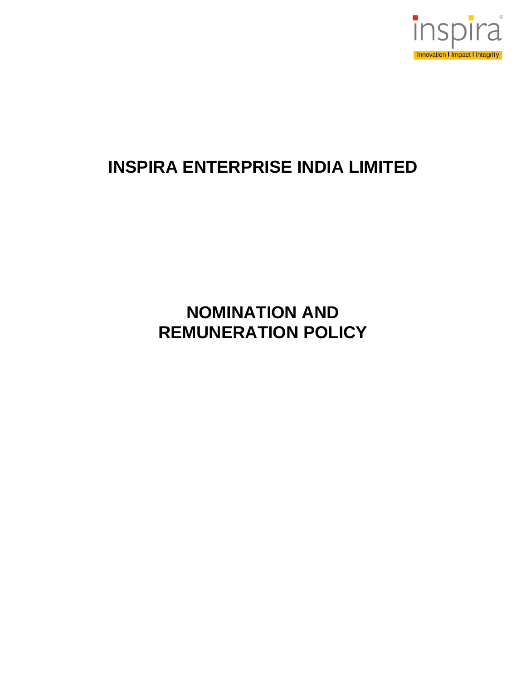

# **INSPIRA ENTERPRISE INDIA LIMITED**

# **NOMINATION AND REMUNERATION POLICY**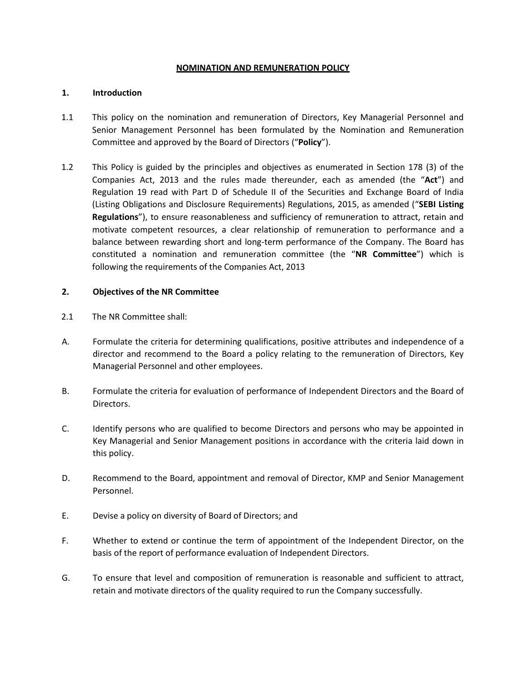#### **NOMINATION AND REMUNERATION POLICY**

#### **1. Introduction**

- 1.1 This policy on the nomination and remuneration of Directors, Key Managerial Personnel and Senior Management Personnel has been formulated by the Nomination and Remuneration Committee and approved by the Board of Directors ("**Policy**").
- 1.2 This Policy is guided by the principles and objectives as enumerated in Section 178 (3) of the Companies Act, 2013 and the rules made thereunder, each as amended (the "**Act**") and Regulation 19 read with Part D of Schedule II of the Securities and Exchange Board of India (Listing Obligations and Disclosure Requirements) Regulations, 2015, as amended ("**SEBI Listing Regulations**"), to ensure reasonableness and sufficiency of remuneration to attract, retain and motivate competent resources, a clear relationship of remuneration to performance and a balance between rewarding short and long-term performance of the Company. The Board has constituted a nomination and remuneration committee (the "**NR Committee**") which is following the requirements of the Companies Act, 2013

## **2. Objectives of the NR Committee**

- 2.1 The NR Committee shall:
- A. Formulate the criteria for determining qualifications, positive attributes and independence of a director and recommend to the Board a policy relating to the remuneration of Directors, Key Managerial Personnel and other employees.
- B. Formulate the criteria for evaluation of performance of Independent Directors and the Board of Directors.
- C. Identify persons who are qualified to become Directors and persons who may be appointed in Key Managerial and Senior Management positions in accordance with the criteria laid down in this policy.
- D. Recommend to the Board, appointment and removal of Director, KMP and Senior Management Personnel.
- E. Devise a policy on diversity of Board of Directors; and
- F. Whether to extend or continue the term of appointment of the Independent Director, on the basis of the report of performance evaluation of Independent Directors.
- G. To ensure that level and composition of remuneration is reasonable and sufficient to attract, retain and motivate directors of the quality required to run the Company successfully.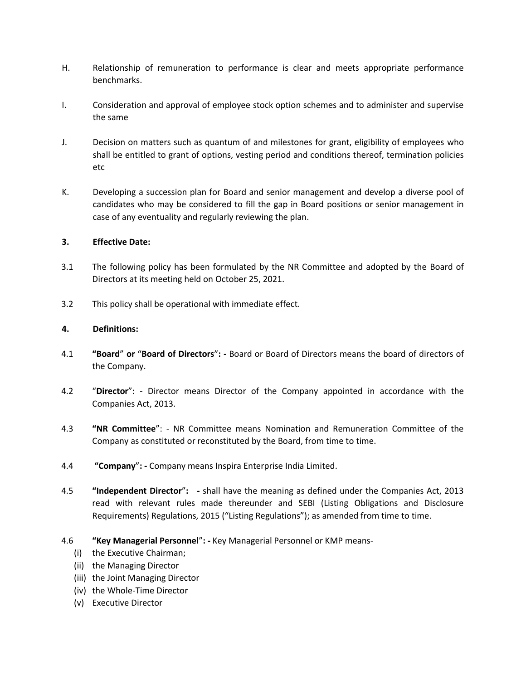- H. Relationship of remuneration to performance is clear and meets appropriate performance benchmarks.
- I. Consideration and approval of employee stock option schemes and to administer and supervise the same
- J. Decision on matters such as quantum of and milestones for grant, eligibility of employees who shall be entitled to grant of options, vesting period and conditions thereof, termination policies etc
- K. Developing a succession plan for Board and senior management and develop a diverse pool of candidates who may be considered to fill the gap in Board positions or senior management in case of any eventuality and regularly reviewing the plan.

#### **3. Effective Date:**

- 3.1 The following policy has been formulated by the NR Committee and adopted by the Board of Directors at its meeting held on October 25, 2021.
- 3.2 This policy shall be operational with immediate effect.

## **4. Definitions:**

- 4.1 **"Board**" **or** "**Board of Directors**"**: -** Board or Board of Directors means the board of directors of the Company.
- 4.2 "**Director**": Director means Director of the Company appointed in accordance with the Companies Act, 2013.
- 4.3 **"NR Committee**": NR Committee means Nomination and Remuneration Committee of the Company as constituted or reconstituted by the Board, from time to time.
- 4.4 **"Company**"**: -** Company means Inspira Enterprise India Limited.
- 4.5 **"Independent Director**"**: -** shall have the meaning as defined under the Companies Act, 2013 read with relevant rules made thereunder and SEBI (Listing Obligations and Disclosure Requirements) Regulations, 2015 ("Listing Regulations"); as amended from time to time.
- 4.6 **"Key Managerial Personnel**"**: -** Key Managerial Personnel or KMP means-
	- (i) the Executive Chairman;
	- (ii) the Managing Director
	- (iii) the Joint Managing Director
	- (iv) the Whole-Time Director
	- (v) Executive Director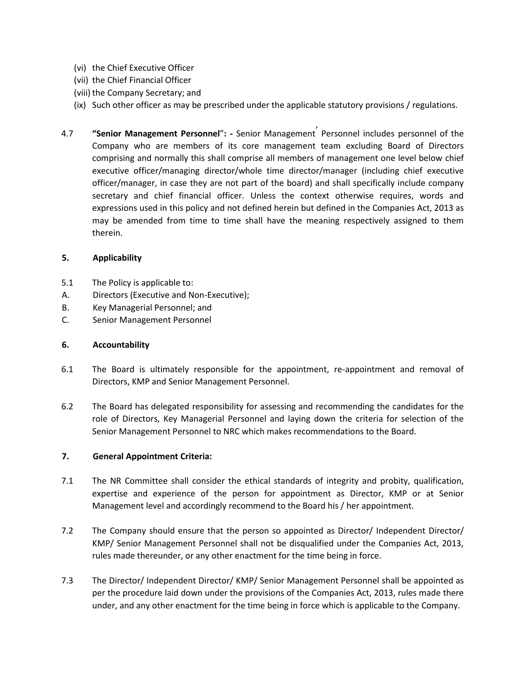- (vi) the Chief Executive Officer
- (vii) the Chief Financial Officer
- (viii) the Company Secretary; and
- (ix) Such other officer as may be prescribed under the applicable statutory provisions / regulations.
- 4.7 **"Senior Management Personnel**"**: -** Senior Management' Personnel includes personnel of the Company who are members of its core management team excluding Board of Directors comprising and normally this shall comprise all members of management one level below chief executive officer/managing director/whole time director/manager (including chief executive officer/manager, in case they are not part of the board) and shall specifically include company secretary and chief financial officer. Unless the context otherwise requires, words and expressions used in this policy and not defined herein but defined in the Companies Act, 2013 as may be amended from time to time shall have the meaning respectively assigned to them therein.

#### **5. Applicability**

- 5.1 The Policy is applicable to:
- A. Directors (Executive and Non-Executive);
- B. Key Managerial Personnel; and
- C. Senior Management Personnel

#### **6. Accountability**

- 6.1 The Board is ultimately responsible for the appointment, re-appointment and removal of Directors, KMP and Senior Management Personnel.
- 6.2 The Board has delegated responsibility for assessing and recommending the candidates for the role of Directors, Key Managerial Personnel and laying down the criteria for selection of the Senior Management Personnel to NRC which makes recommendations to the Board.

#### **7. General Appointment Criteria:**

- 7.1 The NR Committee shall consider the ethical standards of integrity and probity, qualification, expertise and experience of the person for appointment as Director, KMP or at Senior Management level and accordingly recommend to the Board his / her appointment.
- 7.2 The Company should ensure that the person so appointed as Director/ Independent Director/ KMP/ Senior Management Personnel shall not be disqualified under the Companies Act, 2013, rules made thereunder, or any other enactment for the time being in force.
- 7.3 The Director/ Independent Director/ KMP/ Senior Management Personnel shall be appointed as per the procedure laid down under the provisions of the Companies Act, 2013, rules made there under, and any other enactment for the time being in force which is applicable to the Company.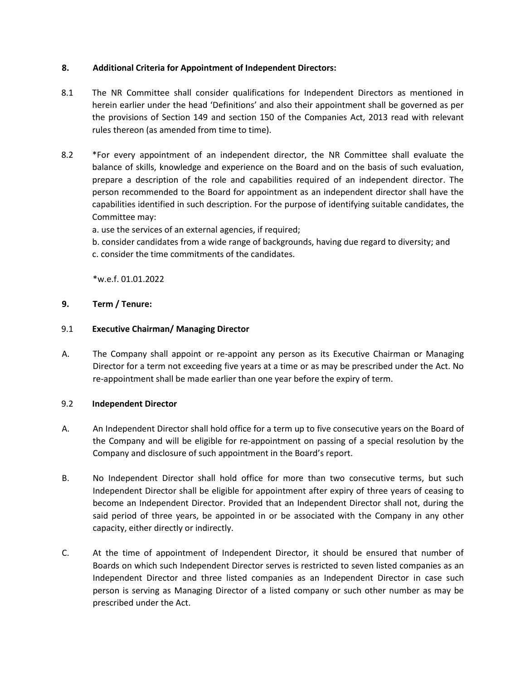#### **8. Additional Criteria for Appointment of Independent Directors:**

- 8.1 The NR Committee shall consider qualifications for Independent Directors as mentioned in herein earlier under the head 'Definitions' and also their appointment shall be governed as per the provisions of Section 149 and section 150 of the Companies Act, 2013 read with relevant rules thereon (as amended from time to time).
- 8.2 \*For every appointment of an independent director, the NR Committee shall evaluate the balance of skills, knowledge and experience on the Board and on the basis of such evaluation, prepare a description of the role and capabilities required of an independent director. The person recommended to the Board for appointment as an independent director shall have the capabilities identified in such description. For the purpose of identifying suitable candidates, the Committee may:

a. use the services of an external agencies, if required;

b. consider candidates from a wide range of backgrounds, having due regard to diversity; and c. consider the time commitments of the candidates.

\*w.e.f. 01.01.2022

## **9. Term / Tenure:**

#### 9.1 **Executive Chairman/ Managing Director**

A. The Company shall appoint or re-appoint any person as its Executive Chairman or Managing Director for a term not exceeding five years at a time or as may be prescribed under the Act. No re-appointment shall be made earlier than one year before the expiry of term.

#### 9.2 **Independent Director**

- A. An Independent Director shall hold office for a term up to five consecutive years on the Board of the Company and will be eligible for re-appointment on passing of a special resolution by the Company and disclosure of such appointment in the Board's report.
- B. No Independent Director shall hold office for more than two consecutive terms, but such Independent Director shall be eligible for appointment after expiry of three years of ceasing to become an Independent Director. Provided that an Independent Director shall not, during the said period of three years, be appointed in or be associated with the Company in any other capacity, either directly or indirectly.
- C. At the time of appointment of Independent Director, it should be ensured that number of Boards on which such Independent Director serves is restricted to seven listed companies as an Independent Director and three listed companies as an Independent Director in case such person is serving as Managing Director of a listed company or such other number as may be prescribed under the Act.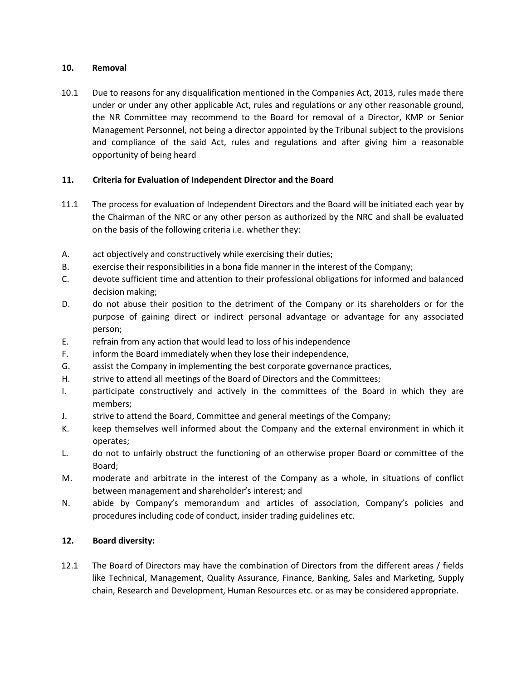#### **10. Removal**

10.1 Due to reasons for any disqualification mentioned in the Companies Act, 2013, rules made there under or under any other applicable Act, rules and regulations or any other reasonable ground, the NR Committee may recommend to the Board for removal of a Director, KMP or Senior Management Personnel, not being a director appointed by the Tribunal subject to the provisions and compliance of the said Act, rules and regulations and after giving him a reasonable opportunity of being heard

# **11. Criteria for Evaluation of Independent Director and the Board**

- 11.1 The process for evaluation of Independent Directors and the Board will be initiated each year by the Chairman of the NRC or any other person as authorized by the NRC and shall be evaluated on the basis of the following criteria i.e. whether they:
- A. act objectively and constructively while exercising their duties;
- B. exercise their responsibilities in a bona fide manner in the interest of the Company;
- C. devote sufficient time and attention to their professional obligations for informed and balanced decision making;
- D. do not abuse their position to the detriment of the Company or its shareholders or for the purpose of gaining direct or indirect personal advantage or advantage for any associated person;
- E. refrain from any action that would lead to loss of his independence
- F. inform the Board immediately when they lose their independence,
- G. assist the Company in implementing the best corporate governance practices,
- H. strive to attend all meetings of the Board of Directors and the Committees;
- I. participate constructively and actively in the committees of the Board in which they are members;
- J. strive to attend the Board, Committee and general meetings of the Company;
- K. keep themselves well informed about the Company and the external environment in which it operates;
- L. do not to unfairly obstruct the functioning of an otherwise proper Board or committee of the Board;
- M. moderate and arbitrate in the interest of the Company as a whole, in situations of conflict between management and shareholder's interest; and
- N. abide by Company's memorandum and articles of association, Company's policies and procedures including code of conduct, insider trading guidelines etc.

## **12. Board diversity:**

12.1 The Board of Directors may have the combination of Directors from the different areas / fields like Technical, Management, Quality Assurance, Finance, Banking, Sales and Marketing, Supply chain, Research and Development, Human Resources etc. or as may be considered appropriate.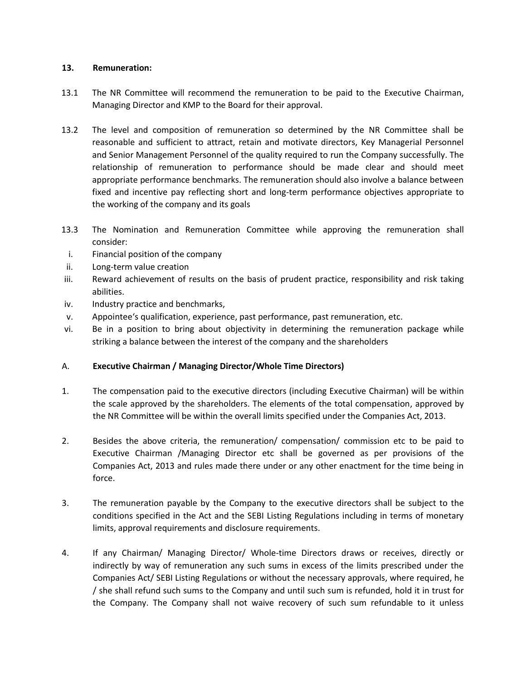#### **13. Remuneration:**

- 13.1 The NR Committee will recommend the remuneration to be paid to the Executive Chairman, Managing Director and KMP to the Board for their approval.
- 13.2 The level and composition of remuneration so determined by the NR Committee shall be reasonable and sufficient to attract, retain and motivate directors, Key Managerial Personnel and Senior Management Personnel of the quality required to run the Company successfully. The relationship of remuneration to performance should be made clear and should meet appropriate performance benchmarks. The remuneration should also involve a balance between fixed and incentive pay reflecting short and long-term performance objectives appropriate to the working of the company and its goals
- 13.3 The Nomination and Remuneration Committee while approving the remuneration shall consider:
- i. Financial position of the company
- ii. Long-term value creation
- iii. Reward achievement of results on the basis of prudent practice, responsibility and risk taking abilities.
- iv. Industry practice and benchmarks,
- v. Appointee's qualification, experience, past performance, past remuneration, etc.
- vi. Be in a position to bring about objectivity in determining the remuneration package while striking a balance between the interest of the company and the shareholders

## A. **Executive Chairman / Managing Director/Whole Time Directors)**

- 1. The compensation paid to the executive directors (including Executive Chairman) will be within the scale approved by the shareholders. The elements of the total compensation, approved by the NR Committee will be within the overall limits specified under the Companies Act, 2013.
- 2. Besides the above criteria, the remuneration/ compensation/ commission etc to be paid to Executive Chairman /Managing Director etc shall be governed as per provisions of the Companies Act, 2013 and rules made there under or any other enactment for the time being in force.
- 3. The remuneration payable by the Company to the executive directors shall be subject to the conditions specified in the Act and the SEBI Listing Regulations including in terms of monetary limits, approval requirements and disclosure requirements.
- 4. If any Chairman/ Managing Director/ Whole-time Directors draws or receives, directly or indirectly by way of remuneration any such sums in excess of the limits prescribed under the Companies Act/ SEBI Listing Regulations or without the necessary approvals, where required, he / she shall refund such sums to the Company and until such sum is refunded, hold it in trust for the Company. The Company shall not waive recovery of such sum refundable to it unless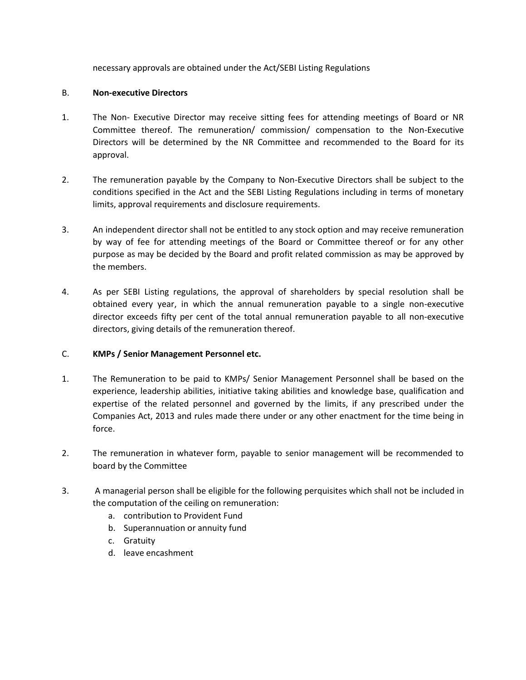necessary approvals are obtained under the Act/SEBI Listing Regulations

#### B. **Non-executive Directors**

- 1. The Non- Executive Director may receive sitting fees for attending meetings of Board or NR Committee thereof. The remuneration/ commission/ compensation to the Non-Executive Directors will be determined by the NR Committee and recommended to the Board for its approval.
- 2. The remuneration payable by the Company to Non-Executive Directors shall be subject to the conditions specified in the Act and the SEBI Listing Regulations including in terms of monetary limits, approval requirements and disclosure requirements.
- 3. An independent director shall not be entitled to any stock option and may receive remuneration by way of fee for attending meetings of the Board or Committee thereof or for any other purpose as may be decided by the Board and profit related commission as may be approved by the members.
- 4. As per SEBI Listing regulations, the approval of shareholders by special resolution shall be obtained every year, in which the annual remuneration payable to a single non-executive director exceeds fifty per cent of the total annual remuneration payable to all non-executive directors, giving details of the remuneration thereof.

## C. **KMPs / Senior Management Personnel etc.**

- 1. The Remuneration to be paid to KMPs/ Senior Management Personnel shall be based on the experience, leadership abilities, initiative taking abilities and knowledge base, qualification and expertise of the related personnel and governed by the limits, if any prescribed under the Companies Act, 2013 and rules made there under or any other enactment for the time being in force.
- 2. The remuneration in whatever form, payable to senior management will be recommended to board by the Committee
- 3. A managerial person shall be eligible for the following perquisites which shall not be included in the computation of the ceiling on remuneration:
	- a. contribution to Provident Fund
	- b. Superannuation or annuity fund
	- c. Gratuity
	- d. leave encashment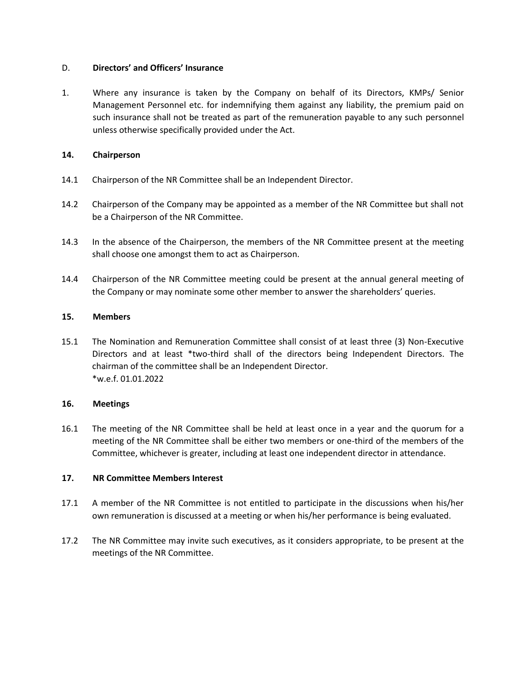#### D. **Directors' and Officers' Insurance**

1. Where any insurance is taken by the Company on behalf of its Directors, KMPs/ Senior Management Personnel etc. for indemnifying them against any liability, the premium paid on such insurance shall not be treated as part of the remuneration payable to any such personnel unless otherwise specifically provided under the Act.

#### **14. Chairperson**

- 14.1 Chairperson of the NR Committee shall be an Independent Director.
- 14.2 Chairperson of the Company may be appointed as a member of the NR Committee but shall not be a Chairperson of the NR Committee.
- 14.3 In the absence of the Chairperson, the members of the NR Committee present at the meeting shall choose one amongst them to act as Chairperson.
- 14.4 Chairperson of the NR Committee meeting could be present at the annual general meeting of the Company or may nominate some other member to answer the shareholders' queries.

#### **15. Members**

15.1 The Nomination and Remuneration Committee shall consist of at least three (3) Non-Executive Directors and at least \*two-third shall of the directors being Independent Directors. The chairman of the committee shall be an Independent Director. \*w.e.f. 01.01.2022

#### **16. Meetings**

16.1 The meeting of the NR Committee shall be held at least once in a year and the quorum for a meeting of the NR Committee shall be either two members or one-third of the members of the Committee, whichever is greater, including at least one independent director in attendance.

#### **17. NR Committee Members Interest**

- 17.1 A member of the NR Committee is not entitled to participate in the discussions when his/her own remuneration is discussed at a meeting or when his/her performance is being evaluated.
- 17.2 The NR Committee may invite such executives, as it considers appropriate, to be present at the meetings of the NR Committee.